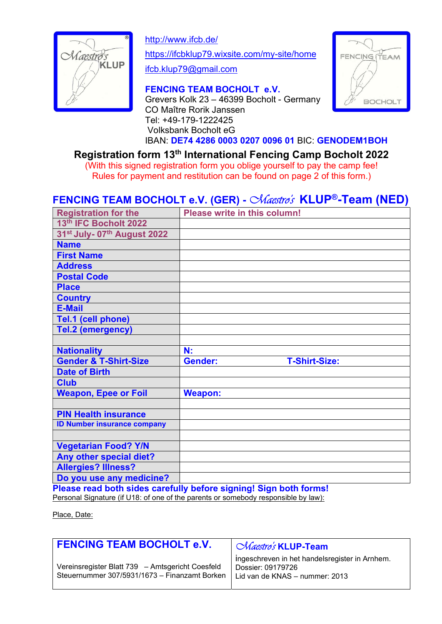

http://www.ifcb.de/

https://ifcbklup79.wixsite.com/my-site/home

ifcb.klup79@gmail.com

## FENCING TEAM BOCHOLT e.V.

Grevers Kolk 23 – 46399 Bocholt - Germany CO Maître Rorik Janssen Tel: +49-179-1222425 Volksbank Bocholt eG



IBAN: DE74 4286 0003 0207 0096 01 BIC: GENODEM1BOH

Registration form 13th International Fencing Camp Bocholt 2022

(With this signed registration form you oblige yourself to pay the camp fee! Rules for payment and restitution can be found on page 2 of this form.)

# FENCING TEAM BOCHOLT e.V. (GER) - Chaestro's KLUP®-Team (NED)

|                                                     | Please write in this column!           |
|-----------------------------------------------------|----------------------------------------|
| 13th IFC Bocholt 2022                               |                                        |
| 31 <sup>st</sup> July- 07 <sup>th</sup> August 2022 |                                        |
| <b>Name</b>                                         |                                        |
| <b>First Name</b>                                   |                                        |
| <b>Address</b>                                      |                                        |
| <b>Postal Code</b>                                  |                                        |
| <b>Place</b>                                        |                                        |
| <b>Country</b>                                      |                                        |
| <b>E-Mail</b>                                       |                                        |
| Tel.1 (cell phone)                                  |                                        |
| Tel.2 (emergency)                                   |                                        |
|                                                     |                                        |
| <b>Nationality</b>                                  | N:                                     |
| <b>Gender &amp; T-Shirt-Size</b>                    | <b>Gender:</b><br><b>T-Shirt-Size:</b> |
| <b>Date of Birth</b>                                |                                        |
| <b>Club</b>                                         |                                        |
|                                                     |                                        |
| <b>Weapon, Epee or Foil</b>                         | <b>Weapon:</b>                         |
|                                                     |                                        |
| <b>PIN Health insurance</b>                         |                                        |
| <b>ID Number insurance company</b>                  |                                        |
|                                                     |                                        |
| <b>Vegetarian Food? Y/N</b>                         |                                        |
| Any other special diet?                             |                                        |
| <b>Allergies? Illness?</b>                          |                                        |
|                                                     |                                        |

Please read both sides carefully before signing! Sign both forms! Personal Signature (if U18: of one of the parents or somebody responsible by law):

Place, Date:

| <b>FENCING TEAM BOCHOLT e.V.</b>                                                                  | <i>Chaestro's</i> KLUP-Team                                                                           |
|---------------------------------------------------------------------------------------------------|-------------------------------------------------------------------------------------------------------|
| Vereinsregister Blatt 739 - Amtsgericht Coesfeld<br>Steuernummer 307/5931/1673 - Finanzamt Borken | ingeschreven in het handelsregister in Arnhem.<br>Dossier: 09179726<br>Lid van de KNAS - nummer: 2013 |